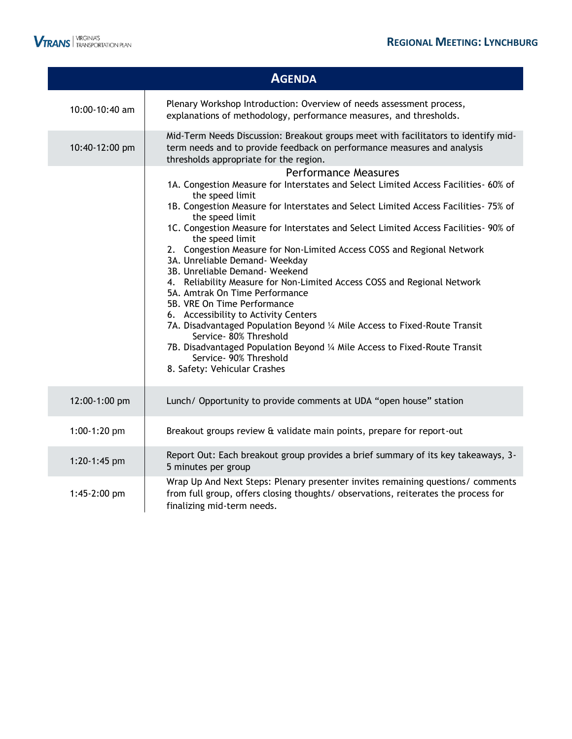|                              | <b>AGENDA</b>                                                                                                                                                                                                                                                                                                                                                                                                                                                                                                                                                                                                                                                                                                                                                                                                                                                                                                                               |
|------------------------------|---------------------------------------------------------------------------------------------------------------------------------------------------------------------------------------------------------------------------------------------------------------------------------------------------------------------------------------------------------------------------------------------------------------------------------------------------------------------------------------------------------------------------------------------------------------------------------------------------------------------------------------------------------------------------------------------------------------------------------------------------------------------------------------------------------------------------------------------------------------------------------------------------------------------------------------------|
| 10:00-10:40 am               | Plenary Workshop Introduction: Overview of needs assessment process,<br>explanations of methodology, performance measures, and thresholds.                                                                                                                                                                                                                                                                                                                                                                                                                                                                                                                                                                                                                                                                                                                                                                                                  |
| 10:40-12:00 pm               | Mid-Term Needs Discussion: Breakout groups meet with facilitators to identify mid-<br>term needs and to provide feedback on performance measures and analysis<br>thresholds appropriate for the region.                                                                                                                                                                                                                                                                                                                                                                                                                                                                                                                                                                                                                                                                                                                                     |
|                              | <b>Performance Measures</b><br>1A. Congestion Measure for Interstates and Select Limited Access Facilities- 60% of<br>the speed limit<br>1B. Congestion Measure for Interstates and Select Limited Access Facilities- 75% of<br>the speed limit<br>1C. Congestion Measure for Interstates and Select Limited Access Facilities- 90% of<br>the speed limit<br>2. Congestion Measure for Non-Limited Access COSS and Regional Network<br>3A. Unreliable Demand- Weekday<br>3B. Unreliable Demand- Weekend<br>4. Reliability Measure for Non-Limited Access COSS and Regional Network<br>5A. Amtrak On Time Performance<br>5B. VRE On Time Performance<br>6. Accessibility to Activity Centers<br>7A. Disadvantaged Population Beyond 1/4 Mile Access to Fixed-Route Transit<br>Service- 80% Threshold<br>7B. Disadvantaged Population Beyond 1/4 Mile Access to Fixed-Route Transit<br>Service- 90% Threshold<br>8. Safety: Vehicular Crashes |
| 12:00-1:00 pm                | Lunch/ Opportunity to provide comments at UDA "open house" station                                                                                                                                                                                                                                                                                                                                                                                                                                                                                                                                                                                                                                                                                                                                                                                                                                                                          |
| $1:00-1:20$ pm               | Breakout groups review & validate main points, prepare for report-out                                                                                                                                                                                                                                                                                                                                                                                                                                                                                                                                                                                                                                                                                                                                                                                                                                                                       |
| 1:20-1:45 pm<br>1:45-2:00 pm | Report Out: Each breakout group provides a brief summary of its key takeaways, 3-<br>5 minutes per group<br>Wrap Up And Next Steps: Plenary presenter invites remaining questions/ comments<br>from full group, offers closing thoughts/ observations, reiterates the process for                                                                                                                                                                                                                                                                                                                                                                                                                                                                                                                                                                                                                                                           |
|                              | finalizing mid-term needs.                                                                                                                                                                                                                                                                                                                                                                                                                                                                                                                                                                                                                                                                                                                                                                                                                                                                                                                  |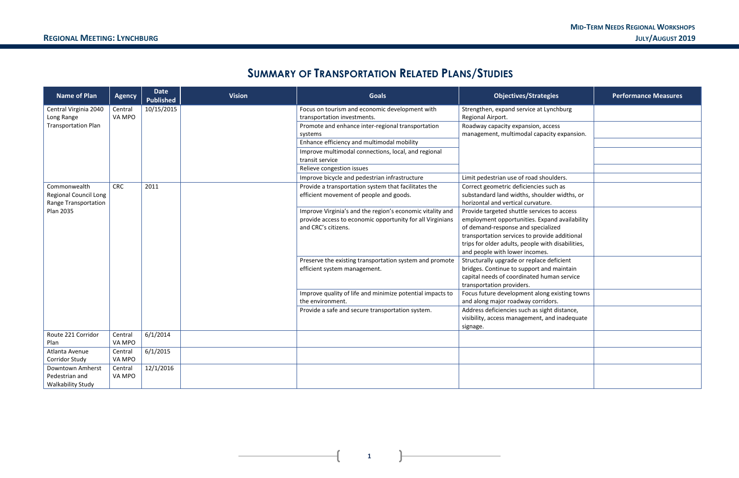#### **MID-TERM NEEDS REGIONAL WORKSHOPS REGIONAL MEETING: LYNCHBURG JULY/AUGUST 2019**

| egies                                         | <b>Performance Measures</b> |
|-----------------------------------------------|-----------------------------|
| Lynchburg                                     |                             |
| access<br>acity expansion.                    |                             |
|                                               |                             |
| noulders.                                     |                             |
| such as<br>ılder widths, or<br>ıre.           |                             |
| ces to access<br>pand availability<br>ialized |                             |
| vide additional<br>vith disabilities,<br>۱S.  |                             |
| e deficient<br>nd maintain<br>uman service    |                             |
| ng existing towns<br>idors.                   |                             |
| ght distance,<br>and inadequate               |                             |
|                                               |                             |
|                                               |                             |
|                                               |                             |

# **SUMMARY OF TRANSPORTATION RELATED PLANS/STUDIES**

| <b>Name of Plan</b>                                                  | <b>Agency</b>     | <b>Date</b><br><b>Published</b> | <b>Vision</b> | <b>Goals</b>                                                                                                                                  | <b>Objectives/Strategies</b>                                                                                                                                                                                                                                               | <b>Performance Measures</b> |
|----------------------------------------------------------------------|-------------------|---------------------------------|---------------|-----------------------------------------------------------------------------------------------------------------------------------------------|----------------------------------------------------------------------------------------------------------------------------------------------------------------------------------------------------------------------------------------------------------------------------|-----------------------------|
| Central Virginia 2040<br>Long Range                                  | Central<br>VA MPO | 10/15/2015                      |               | Focus on tourism and economic development with<br>transportation investments.                                                                 | Strengthen, expand service at Lynchburg<br>Regional Airport.                                                                                                                                                                                                               |                             |
| <b>Transportation Plan</b>                                           |                   |                                 |               | Promote and enhance inter-regional transportation<br>systems                                                                                  | Roadway capacity expansion, access<br>management, multimodal capacity expansion.                                                                                                                                                                                           |                             |
|                                                                      |                   |                                 |               | Enhance efficiency and multimodal mobility                                                                                                    |                                                                                                                                                                                                                                                                            |                             |
|                                                                      |                   |                                 |               | Improve multimodal connections, local, and regional<br>transit service                                                                        |                                                                                                                                                                                                                                                                            |                             |
|                                                                      |                   |                                 |               | Relieve congestion issues                                                                                                                     |                                                                                                                                                                                                                                                                            |                             |
|                                                                      |                   |                                 |               | Improve bicycle and pedestrian infrastructure                                                                                                 | Limit pedestrian use of road shoulders.                                                                                                                                                                                                                                    |                             |
| Commonwealth<br><b>Regional Council Long</b><br>Range Transportation | <b>CRC</b>        | 2011                            |               | Provide a transportation system that facilitates the<br>efficient movement of people and goods.                                               | Correct geometric deficiencies such as<br>substandard land widths, shoulder widths, or<br>horizontal and vertical curvature.                                                                                                                                               |                             |
| <b>Plan 2035</b>                                                     |                   |                                 |               | Improve Virginia's and the region's economic vitality and<br>provide access to economic opportunity for all Virginians<br>and CRC's citizens. | Provide targeted shuttle services to access<br>employment opportunities. Expand availability<br>of demand-response and specialized<br>transportation services to provide additional<br>trips for older adults, people with disabilities,<br>and people with lower incomes. |                             |
|                                                                      |                   |                                 |               | Preserve the existing transportation system and promote<br>efficient system management.                                                       | Structurally upgrade or replace deficient<br>bridges. Continue to support and maintain<br>capital needs of coordinated human service<br>transportation providers.                                                                                                          |                             |
|                                                                      |                   |                                 |               | Improve quality of life and minimize potential impacts to<br>the environment.                                                                 | Focus future development along existing towns<br>and along major roadway corridors.                                                                                                                                                                                        |                             |
|                                                                      |                   |                                 |               | Provide a safe and secure transportation system.                                                                                              | Address deficiencies such as sight distance,<br>visibility, access management, and inadequate<br>signage.                                                                                                                                                                  |                             |
| Route 221 Corridor<br>Plan                                           | Central<br>VA MPO | 6/1/2014                        |               |                                                                                                                                               |                                                                                                                                                                                                                                                                            |                             |
| Atlanta Avenue<br><b>Corridor Study</b>                              | Central<br>VA MPO | 6/1/2015                        |               |                                                                                                                                               |                                                                                                                                                                                                                                                                            |                             |
| <b>Downtown Amherst</b><br>Pedestrian and<br>Walkability Study       | Central<br>VA MPO | 12/1/2016                       |               |                                                                                                                                               |                                                                                                                                                                                                                                                                            |                             |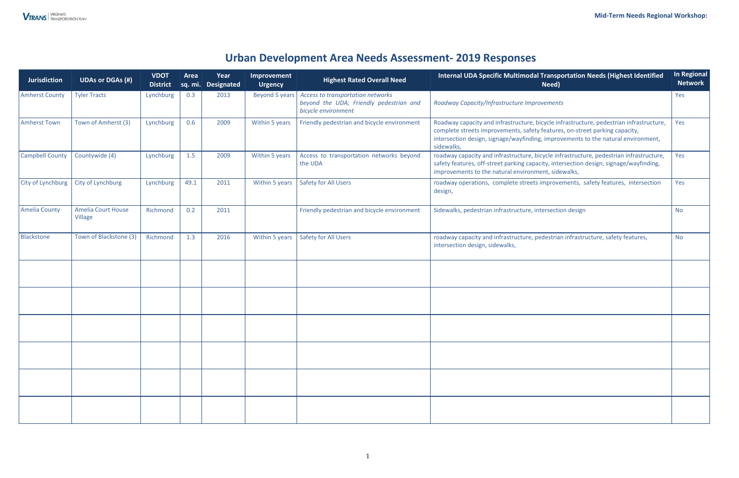## **Urban Development Area Needs Assessment- 2019 Responses**

| <b>Jurisdiction</b>      | <b>UDAs or DGAs (#)</b>              | <b>VDOT</b><br><b>District</b> | Area | Year<br>sq. mi. Designated | <b>Improvement</b><br><b>Urgency</b> | <b>Highest Rated Overall Need</b>                                                                                                                                                                                                                                                               | Internal UDA Specific Multimodal Transportation Needs (Highest Identified<br>Need)                                                                                                                                                                                        | In Regional<br><b>Network</b> |
|--------------------------|--------------------------------------|--------------------------------|------|----------------------------|--------------------------------------|-------------------------------------------------------------------------------------------------------------------------------------------------------------------------------------------------------------------------------------------------------------------------------------------------|---------------------------------------------------------------------------------------------------------------------------------------------------------------------------------------------------------------------------------------------------------------------------|-------------------------------|
| <b>Amherst County</b>    | <b>Tyler Tracts</b>                  | Lynchburg                      | 0.3  | 2013                       | Beyond 5 years                       | Access to transportation networks<br>beyond the UDA; Friendly pedestrian and<br>bicycle environment                                                                                                                                                                                             | Roadway Capacity/Infrastructure Improvements                                                                                                                                                                                                                              | Yes                           |
| <b>Amherst Town</b>      | Town of Amherst (3)                  | Lynchburg                      | 0.6  | 2009                       | Within 5 years                       | Friendly pedestrian and bicycle environment                                                                                                                                                                                                                                                     | Roadway capacity and infrastructure, bicycle infrastructure, pedestrian infrastructure,<br>complete streets improvements, safety features, on-street parking capacity,<br>intersection design, signage/wayfinding, improvements to the natural environment,<br>sidewalks, | Yes                           |
| <b>Campbell County</b>   | Countywide (4)                       | Lynchburg                      | 1.5  | 2009                       | Within 5 years                       | roadway capacity and infrastructure, bicycle infrastructure, pedestrian infrastructure,<br>Access to transportation networks beyond<br>the UDA<br>safety features, off-street parking capacity, intersection design, signage/wayfinding,<br>improvements to the natural environment, sidewalks, |                                                                                                                                                                                                                                                                           | Yes                           |
| <b>City of Lynchburg</b> | City of Lynchburg                    | Lynchburg                      | 49.1 | 2011                       | Within 5 years                       | <b>Safety for All Users</b>                                                                                                                                                                                                                                                                     | roadway operations, complete streets improvements, safety features, intersection<br>design,                                                                                                                                                                               | Yes                           |
| <b>Amelia County</b>     | <b>Amelia Court House</b><br>Village | Richmond                       | 0.2  | 2011                       |                                      | Friendly pedestrian and bicycle environment                                                                                                                                                                                                                                                     | Sidewalks, pedestrian infrastructure, intersection design                                                                                                                                                                                                                 | <b>No</b>                     |
| Blackstone               | Town of Blackstone (3)               | Richmond                       | 1.3  | 2016                       | Within 5 years                       | <b>Safety for All Users</b>                                                                                                                                                                                                                                                                     | roadway capacity and infrastructure, pedestrian infrastructure, safety features,<br>intersection design, sidewalks,                                                                                                                                                       | <b>No</b>                     |
|                          |                                      |                                |      |                            |                                      |                                                                                                                                                                                                                                                                                                 |                                                                                                                                                                                                                                                                           |                               |
|                          |                                      |                                |      |                            |                                      |                                                                                                                                                                                                                                                                                                 |                                                                                                                                                                                                                                                                           |                               |
|                          |                                      |                                |      |                            |                                      |                                                                                                                                                                                                                                                                                                 |                                                                                                                                                                                                                                                                           |                               |
|                          |                                      |                                |      |                            |                                      |                                                                                                                                                                                                                                                                                                 |                                                                                                                                                                                                                                                                           |                               |
|                          |                                      |                                |      |                            |                                      |                                                                                                                                                                                                                                                                                                 |                                                                                                                                                                                                                                                                           |                               |
|                          |                                      |                                |      |                            |                                      |                                                                                                                                                                                                                                                                                                 |                                                                                                                                                                                                                                                                           |                               |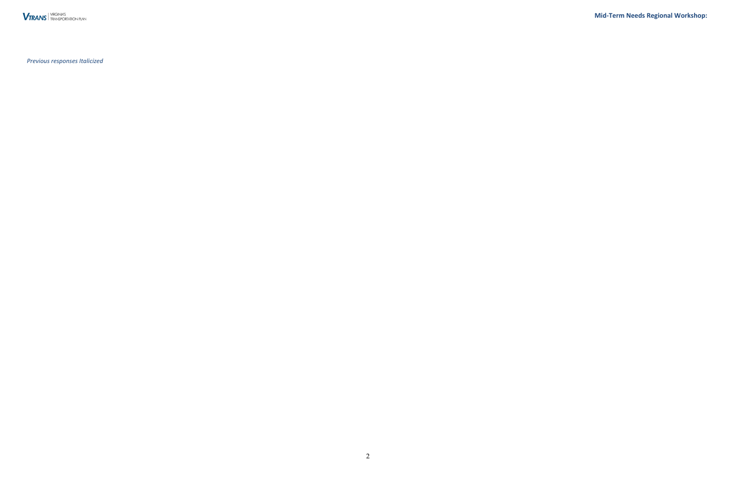**Mid-Term Needs Regional Workshop:** 

**VTRANS** TRANSPORTATION PLAN

*Previous responses Italicized*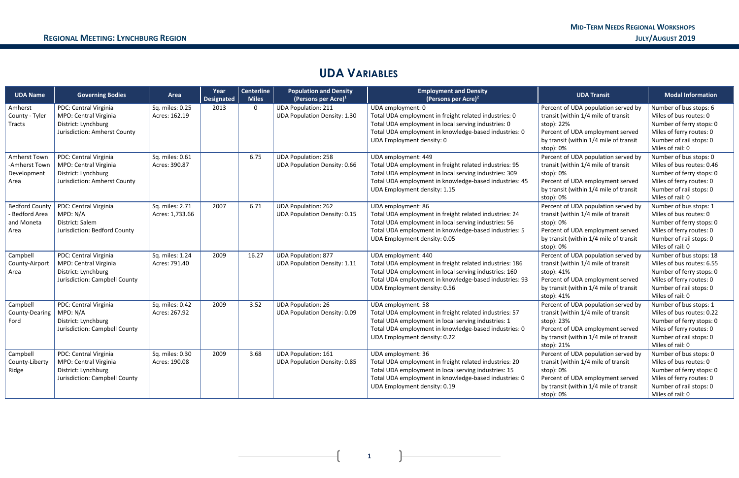## **UDA VARIABLES**

| <b>UDA Name</b>                                               | <b>Governing Bodies</b>                                                                                | Area                               | Year<br><b>Designated</b> | <b>Centerline</b><br><b>Miles</b> | <b>Population and Density</b><br>(Persons per Acre) <sup>1</sup>  | <b>Employment and Density</b><br>(Persons per Acre) <sup>2</sup>                                                                                                                                                                  | <b>UDA Transit</b>                                                                                                                                                                   | <b>Modal Information</b>                                                                                                                                    |
|---------------------------------------------------------------|--------------------------------------------------------------------------------------------------------|------------------------------------|---------------------------|-----------------------------------|-------------------------------------------------------------------|-----------------------------------------------------------------------------------------------------------------------------------------------------------------------------------------------------------------------------------|--------------------------------------------------------------------------------------------------------------------------------------------------------------------------------------|-------------------------------------------------------------------------------------------------------------------------------------------------------------|
| Amherst<br>County - Tyler<br>Tracts                           | PDC: Central Virginia<br>MPO: Central Virginia<br>District: Lynchburg<br>Jurisdiction: Amherst County  | Sq. miles: 0.25<br>Acres: 162.19   | 2013                      | $\mathbf 0$                       | <b>UDA Population: 211</b><br><b>UDA Population Density: 1.30</b> | UDA employment: 0<br>Total UDA employment in freight related industries: 0<br>Total UDA employment in local serving industries: 0<br>Total UDA employment in knowledge-based industries: 0<br>UDA Employment density: 0           | Percent of UDA population served by<br>transit (within 1/4 mile of transit<br>stop): 22%<br>Percent of UDA employment served<br>by transit (within 1/4 mile of transit<br>stop): 0%  | Number of bus stops: 6<br>Miles of bus routes: 0<br>Number of ferry stops: 0<br>Miles of ferry routes: 0<br>Number of rail stops: 0<br>Miles of rail: 0     |
| Amherst Town<br>-Amherst Town<br>Development<br>Area          | PDC: Central Virginia<br>MPO: Central Virginia<br>District: Lynchburg<br>Jurisdiction: Amherst County  | Sq. miles: 0.61<br>Acres: 390.87   |                           | 6.75                              | <b>UDA Population: 258</b><br><b>UDA Population Density: 0.66</b> | UDA employment: 449<br>Total UDA employment in freight related industries: 95<br>Total UDA employment in local serving industries: 309<br>Total UDA employment in knowledge-based industries: 45<br>UDA Employment density: 1.15  | Percent of UDA population served by<br>transit (within 1/4 mile of transit<br>stop): 0%<br>Percent of UDA employment served<br>by transit (within 1/4 mile of transit<br>stop): 0%   | Number of bus stops: 0<br>Miles of bus routes: 0.46<br>Number of ferry stops: 0<br>Miles of ferry routes: 0<br>Number of rail stops: 0<br>Miles of rail: 0  |
| <b>Bedford County</b><br>- Bedford Area<br>and Moneta<br>Area | PDC: Central Virginia<br>MPO: N/A<br>District: Salem<br>Jurisdiction: Bedford County                   | Sq. miles: 2.71<br>Acres: 1,733.66 | 2007                      | 6.71                              | <b>UDA Population: 262</b><br><b>UDA Population Density: 0.15</b> | UDA employment: 86<br>Total UDA employment in freight related industries: 24<br>Total UDA employment in local serving industries: 56<br>Total UDA employment in knowledge-based industries: 5<br>UDA Employment density: 0.05     | Percent of UDA population served by<br>transit (within 1/4 mile of transit<br>stop): 0%<br>Percent of UDA employment served<br>by transit (within 1/4 mile of transit<br>stop): 0%   | Number of bus stops: 1<br>Miles of bus routes: 0<br>Number of ferry stops: 0<br>Miles of ferry routes: 0<br>Number of rail stops: 0<br>Miles of rail: 0     |
| Campbell<br>County-Airport<br>Area                            | PDC: Central Virginia<br>MPO: Central Virginia<br>District: Lynchburg<br>Jurisdiction: Campbell County | Sq. miles: 1.24<br>Acres: 791.40   | 2009                      | 16.27                             | <b>UDA Population: 877</b><br><b>UDA Population Density: 1.11</b> | UDA employment: 440<br>Total UDA employment in freight related industries: 186<br>Total UDA employment in local serving industries: 160<br>Total UDA employment in knowledge-based industries: 93<br>UDA Employment density: 0.56 | Percent of UDA population served by<br>transit (within 1/4 mile of transit<br>stop): 41%<br>Percent of UDA employment served<br>by transit (within 1/4 mile of transit<br>stop): 41% | Number of bus stops: 18<br>Miles of bus routes: 6.55<br>Number of ferry stops: 0<br>Miles of ferry routes: 0<br>Number of rail stops: 0<br>Miles of rail: 0 |
| Campbell<br>County-Dearing<br>Ford                            | PDC: Central Virginia<br>MPO: N/A<br>District: Lynchburg<br>Jurisdiction: Campbell County              | Sq. miles: 0.42<br>Acres: 267.92   | 2009                      | 3.52                              | <b>UDA Population: 26</b><br><b>UDA Population Density: 0.09</b>  | UDA employment: 58<br>Total UDA employment in freight related industries: 57<br>Total UDA employment in local serving industries: 1<br>Total UDA employment in knowledge-based industries: 0<br>UDA Employment density: 0.22      | Percent of UDA population served by<br>transit (within 1/4 mile of transit<br>stop): 23%<br>Percent of UDA employment served<br>by transit (within 1/4 mile of transit<br>stop): 21% | Number of bus stops: 1<br>Miles of bus routes: 0.22<br>Number of ferry stops: 0<br>Miles of ferry routes: 0<br>Number of rail stops: 0<br>Miles of rail: 0  |
| Campbell<br>County-Liberty<br>Ridge                           | PDC: Central Virginia<br>MPO: Central Virginia<br>District: Lynchburg<br>Jurisdiction: Campbell County | Sq. miles: 0.30<br>Acres: 190.08   | 2009                      | 3.68                              | <b>UDA Population: 161</b><br><b>UDA Population Density: 0.85</b> | UDA employment: 36<br>Total UDA employment in freight related industries: 20<br>Total UDA employment in local serving industries: 15<br>Total UDA employment in knowledge-based industries: 0<br>UDA Employment density: 0.19     | Percent of UDA population served by<br>transit (within 1/4 mile of transit<br>stop): 0%<br>Percent of UDA employment served<br>by transit (within 1/4 mile of transit<br>stop): 0%   | Number of bus stops: 0<br>Miles of bus routes: 0<br>Number of ferry stops: 0<br>Miles of ferry routes: 0<br>Number of rail stops: 0<br>Miles of rail: 0     |

 $\mathbf{R}$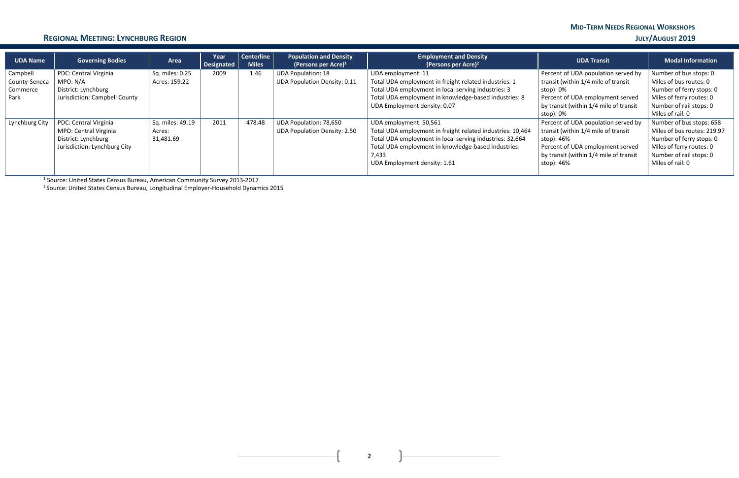# **MID-TERM NEEDS REGIONAL WORKSHOPS**

#### **REGIONAL MEETING: LYNCHBURG REGION JULY/AUGUST 2019**

**2**

| <b>UDA Name</b>                               | <b>Governing Bodies</b>                                                                               | Area                                    | Year<br>Designated | Centerline<br><b>Miles</b> | <b>Population and Density</b><br>(Persons per Acre) $1$          | <b>Employment and Density</b><br>(Persons per Acre) <sup>2</sup>                                                                                                                                                                                 | <b>UDA Transit</b>                                                                                                                                                                   | <b>Modal Information</b>                                                                                                                                       |
|-----------------------------------------------|-------------------------------------------------------------------------------------------------------|-----------------------------------------|--------------------|----------------------------|------------------------------------------------------------------|--------------------------------------------------------------------------------------------------------------------------------------------------------------------------------------------------------------------------------------------------|--------------------------------------------------------------------------------------------------------------------------------------------------------------------------------------|----------------------------------------------------------------------------------------------------------------------------------------------------------------|
| Campbell<br>County-Seneca<br>Commerce<br>Park | PDC: Central Virginia<br>MPO: N/A<br>District: Lynchburg<br>Jurisdiction: Campbell County             | Sq. miles: 0.25<br>Acres: 159.22        | 2009               | 1.46                       | <b>UDA Population: 18</b><br><b>UDA Population Density: 0.11</b> | UDA employment: 11<br>Total UDA employment in freight related industries: 1<br>Total UDA employment in local serving industries: 3<br>Total UDA employment in knowledge-based industries: 8<br>UDA Employment density: 0.07                      | Percent of UDA population served by<br>transit (within 1/4 mile of transit<br>stop): 0%<br>Percent of UDA employment served<br>by transit (within 1/4 mile of transit<br>stop): 0%   | Number of bus stops: 0<br>Miles of bus routes: 0<br>Number of ferry stops: 0<br>Miles of ferry routes: 0<br>Number of rail stops: 0<br>Miles of rail: 0        |
| Lynchburg City                                | PDC: Central Virginia<br>MPO: Central Virginia<br>District: Lynchburg<br>Jurisdiction: Lynchburg City | Sq. miles: 49.19<br>Acres:<br>31,481.69 | 2011               | 478.48                     | UDA Population: 78,650<br><b>UDA Population Density: 2.50</b>    | UDA employment: 50,561<br>Total UDA employment in freight related industries: 10,464<br>Total UDA employment in local serving industries: 32,664<br>Total UDA employment in knowledge-based industries:<br>7,433<br>UDA Employment density: 1.61 | Percent of UDA population served by<br>transit (within 1/4 mile of transit<br>stop): 46%<br>Percent of UDA employment served<br>by transit (within 1/4 mile of transit<br>stop): 46% | Number of bus stops: 658<br>Miles of bus routes: 219.97<br>Number of ferry stops: 0<br>Miles of ferry routes: 0<br>Number of rail stops: 0<br>Miles of rail: 0 |

1 Source: United States Census Bureau, American Community Survey 2013-2017

<sup>2</sup> Source: United States Census Bureau, Longitudinal Employer-Household Dynamics 2015